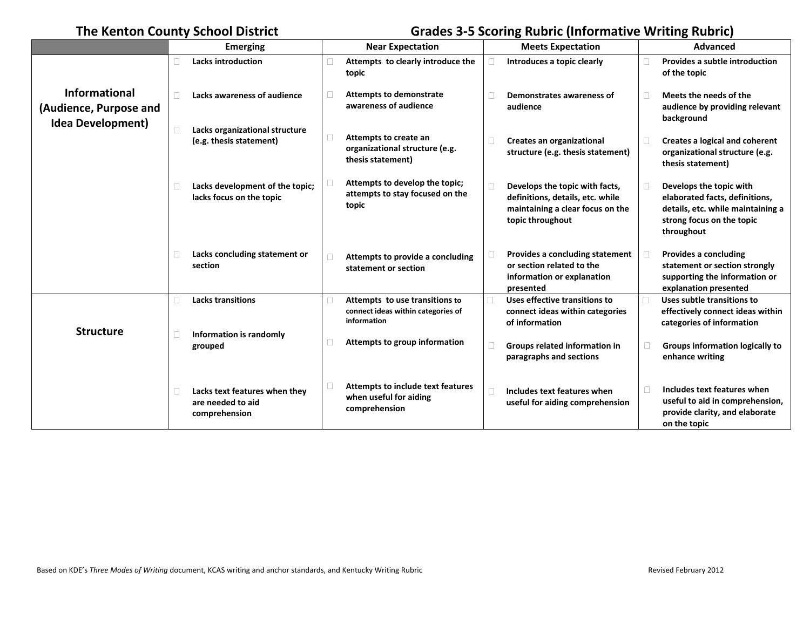## **The Kenton County School District Grades 3-5 Scoring Rubric (Informative Writing Rubric)**

|                                                                            |   | <b>Emerging</b>                                                     | <b>Near Expectation</b>                                                             |        | <b>Meets Expectation</b>                                                                                                   | <b>Advanced</b>                                                                                                                           |
|----------------------------------------------------------------------------|---|---------------------------------------------------------------------|-------------------------------------------------------------------------------------|--------|----------------------------------------------------------------------------------------------------------------------------|-------------------------------------------------------------------------------------------------------------------------------------------|
|                                                                            |   | <b>Lacks introduction</b>                                           | Attempts to clearly introduce the<br>topic                                          |        | Introduces a topic clearly                                                                                                 | Provides a subtle introduction<br>of the topic                                                                                            |
| <b>Informational</b><br>(Audience, Purpose and<br><b>Idea Development)</b> | П | Lacks awareness of audience                                         | <b>Attempts to demonstrate</b><br>awareness of audience                             |        | Demonstrates awareness of<br>audience                                                                                      | Meets the needs of the<br>audience by providing relevant<br>background                                                                    |
|                                                                            | O | Lacks organizational structure<br>(e.g. thesis statement)           | Attempts to create an<br>organizational structure (e.g.<br>thesis statement)        |        | Creates an organizational<br>structure (e.g. thesis statement)                                                             | Creates a logical and coherent<br>organizational structure (e.g.<br>thesis statement)                                                     |
|                                                                            |   | Lacks development of the topic;<br>lacks focus on the topic         | Attempts to develop the topic;<br>attempts to stay focused on the<br>topic          | $\Box$ | Develops the topic with facts,<br>definitions, details, etc. while<br>maintaining a clear focus on the<br>topic throughout | Develops the topic with<br>elaborated facts, definitions,<br>details, etc. while maintaining a<br>strong focus on the topic<br>throughout |
|                                                                            | П | Lacks concluding statement or<br>section                            | Attempts to provide a concluding<br>statement or section                            |        | Provides a concluding statement<br>or section related to the<br>information or explanation<br>presented                    | Provides a concluding<br>statement or section strongly<br>supporting the information or<br>explanation presented                          |
| <b>Structure</b>                                                           |   | <b>Lacks transitions</b>                                            | Attempts to use transitions to<br>connect ideas within categories of<br>information |        | Uses effective transitions to<br>connect ideas within categories<br>of information                                         | Uses subtle transitions to<br>effectively connect ideas within<br>categories of information                                               |
|                                                                            | □ | Information is randomly<br>grouped                                  | Attempts to group information                                                       |        | Groups related information in<br>paragraphs and sections                                                                   | <b>Groups information logically to</b><br>enhance writing                                                                                 |
|                                                                            | П | Lacks text features when they<br>are needed to aid<br>comprehension | <b>Attempts to include text features</b><br>when useful for aiding<br>comprehension |        | Includes text features when<br>useful for aiding comprehension                                                             | Includes text features when<br>useful to aid in comprehension,<br>provide clarity, and elaborate<br>on the topic                          |